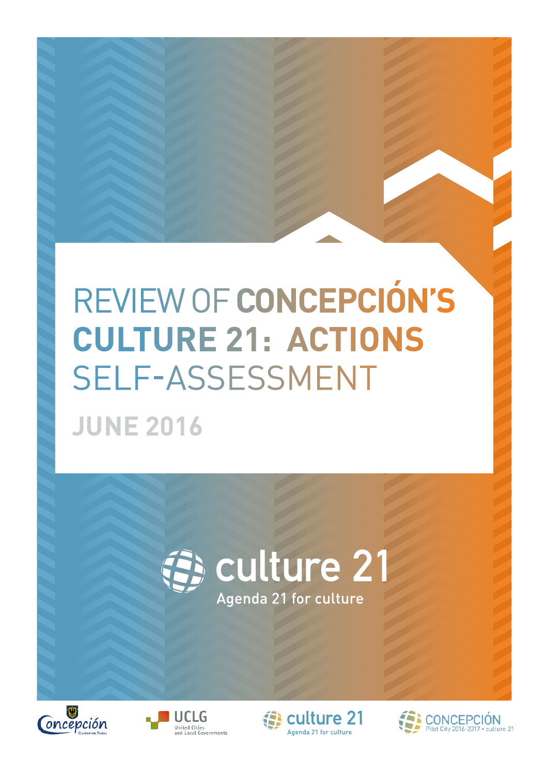## REVIEW OF **CONCEPCIÓN'S CULTURE 21: ACTIONS**  SELF-ASSESSMENT **JUNE 2016**







culture 21 Agenda 21 for culture

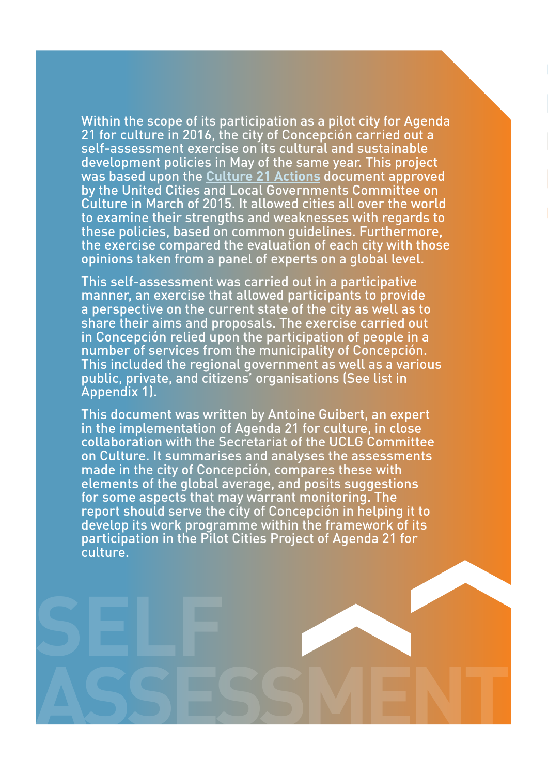Within the scope of its participation as a pilot city for Agenda 21 for culture in 2016, the city of Concepción carried out a self-assessment exercise on its cultural and sustainable development policies in May of the same year. This project was based upon the **[Culture 21 Actions](http://www.agenda21culture.net/images/a21c/nueva-A21C/C21A/C21_015_en.pdf)** document approved by the United Cities and Local Governments Committee on Culture in March of 2015. It allowed cities all over the world to examine their strengths and weaknesses with regards to these policies, based on common guidelines. Furthermore, the exercise compared the evaluation of each city with those opinions taken from a panel of experts on a global level.

This self-assessment was carried out in a participative manner, an exercise that allowed participants to provide a perspective on the current state of the city as well as to share their aims and proposals. The exercise carried out in Concepción relied upon the participation of people in a number of services from the municipality of Concepción. This included the regional government as well as a various public, private, and citizens' organisations (See list in Appendix 1).

This document was written by Antoine Guibert, an expert in the implementation of Agenda 21 for culture, in close collaboration with the Secretariat of the UCLG Committee on Culture. It summarises and analyses the assessments made in the city of Concepción, compares these with elements of the global average, and posits suggestions for some aspects that may warrant monitoring. The report should serve the city of Concepción in helping it to develop its work programme within the framework of its participation in the Pilot Cities Project of Agenda 21 for culture.

**ASSESSMENT**

**SELF**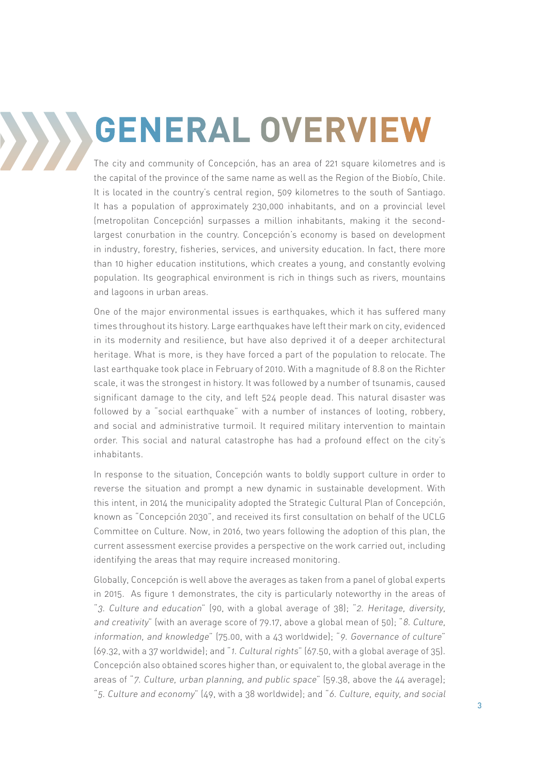# **GENERAL OVERVIEW**

The city and community of Concepción, has an area of 221 square kilometres and is the capital of the province of the same name as well as the Region of the Biobío, Chile. It is located in the country's central region, 509 kilometres to the south of Santiago. It has a population of approximately 230,000 inhabitants, and on a provincial level (metropolitan Concepción) surpasses a million inhabitants, making it the secondlargest conurbation in the country. Concepción's economy is based on development in industry, forestry, fisheries, services, and university education. In fact, there more than 10 higher education institutions, which creates a young, and constantly evolving population. Its geographical environment is rich in things such as rivers, mountains and lagoons in urban areas.

One of the major environmental issues is earthquakes, which it has suffered many times throughout its history. Large earthquakes have left their mark on city, evidenced in its modernity and resilience, but have also deprived it of a deeper architectural heritage. What is more, is they have forced a part of the population to relocate. The last earthquake took place in February of 2010. With a magnitude of 8.8 on the Richter scale, it was the strongest in history. It was followed by a number of tsunamis, caused significant damage to the city, and left 524 people dead. This natural disaster was followed by a "social earthquake" with a number of instances of looting, robbery, and social and administrative turmoil. It required military intervention to maintain order. This social and natural catastrophe has had a profound effect on the city's inhabitants.

In response to the situation, Concepción wants to boldly support culture in order to reverse the situation and prompt a new dynamic in sustainable development. With this intent, in 2014 the municipality adopted the Strategic Cultural Plan of Concepción, known as "Concepción 2030", and received its first consultation on behalf of the UCLG Committee on Culture. Now, in 2016, two years following the adoption of this plan, the current assessment exercise provides a perspective on the work carried out, including identifying the areas that may require increased monitoring.

Globally, Concepción is well above the averages as taken from a panel of global experts in 2015. As figure 1 demonstrates, the city is particularly noteworthy in the areas of "3. Culture and education" (90, with a global average of 38); "2. Heritage, diversity, and creativity" (with an average score of 79.17, above a global mean of 50); "8. Culture, information, and knowledge" (75.00, with a 43 worldwide); "9. Governance of culture" (69.32, with a 37 worldwide); and "1. Cultural rights" (67.50, with a global average of 35). Concepción also obtained scores higher than, or equivalent to, the global average in the areas of "7. Culture, urban planning, and public space" (59.38, above the 44 average); "5. Culture and economy" (49, with a 38 worldwide); and "6. Culture, equity, and social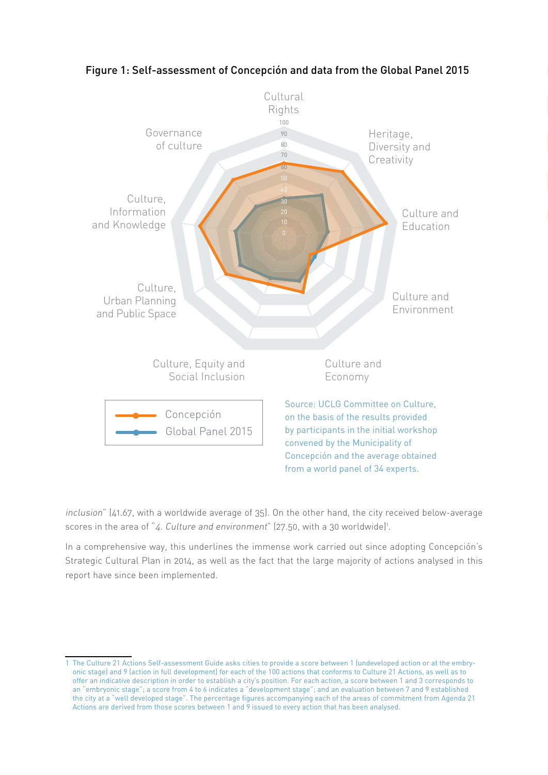

#### Figure 1: Self-assessment of Concepción and data from the Global Panel 2015

inclusion" (41.67, with a worldwide average of 35). On the other hand, the city received below-average scores in the area of "4. Culture and environment" (27.50, with a 30 worldwide)<sup>1</sup>.

In a comprehensive way, this underlines the immense work carried out since adopting Concepción's Strategic Cultural Plan in 2014, as well as the fact that the large majority of actions analysed in this report have since been implemented.

<sup>1</sup> The Culture 21 Actions Self-assessment Guide asks cities to provide a score between 1 (undeveloped action or at the embryonic stage) and 9 (action in full development) for each of the 100 actions that conforms to Culture 21 Actions, as well as to offer an indicative description in order to establish a city's position. For each action, a score between 1 and 3 corresponds to an "embryonic stage"; a score from 4 to 6 indicates a "development stage"; and an evaluation between 7 and 9 established the city at a "well developed stage". The percentage figures accompanying each of the areas of commitment from Agenda 21 Actions are derived from those scores between 1 and 9 issued to every action that has been analysed.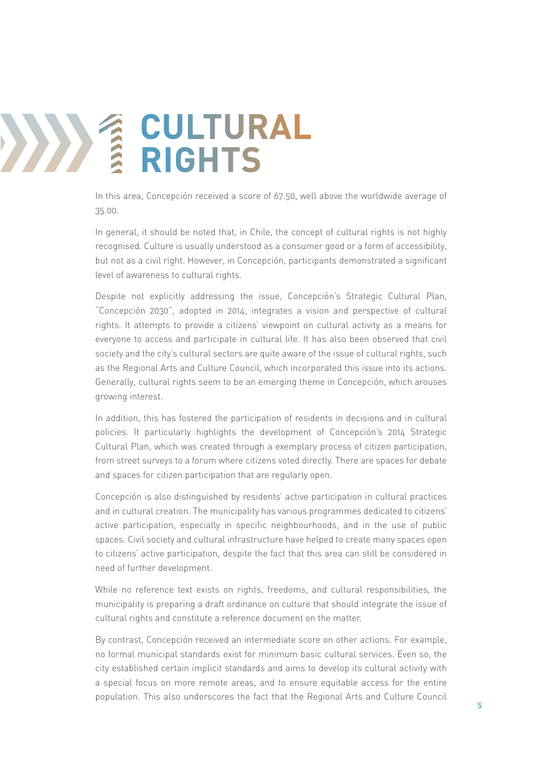# **12 CULTURAL**<br> **12 RIGHTS RIGHTS**

In this area, Concepción received a score of 67.50, well above the worldwide average of 35.00.

In general, it should be noted that, in Chile, the concept of cultural rights is not highly recognised. Culture is usually understood as a consumer good or a form of accessibility, but not as a civil right. However, in Concepción, participants demonstrated a significant level of awareness to cultural rights.

Despite not explicitly addressing the issue, Concepción's Strategic Cultural Plan, "Concepción 2030", adopted in 2014, integrates a vision and perspective of cultural rights. It attempts to provide a citizens' viewpoint on cultural activity as a means for everyone to access and participate in cultural life. It has also been observed that civil society and the city's cultural sectors are quite aware of the issue of cultural rights, such as the Regional Arts and Culture Council, which incorporated this issue into its actions. Generally, cultural rights seem to be an emerging theme in Concepción, which arouses growing interest.

In addition, this has fostered the participation of residents in decisions and in cultural policies. It particularly highlights the development of Concepción's 2014 Strategic Cultural Plan, which was created through a exemplary process of citizen participation, from street surveys to a forum where citizens voted directly. There are spaces for debate and spaces for citizen participation that are regularly open.

Concepción is also distinguished by residents' active participation in cultural practices and in cultural creation. The municipality has various programmes dedicated to citizens' active participation, especially in specific neighbourhoods, and in the use of public spaces. Civil society and cultural infrastructure have helped to create many spaces open to citizens' active participation, despite the fact that this area can still be considered in need of further development.

While no reference text exists on rights, freedoms, and cultural responsibilities, the municipality is preparing a draft ordinance on culture that should integrate the issue of cultural rights and constitute a reference document on the matter.

By contrast, Concepción received an intermediate score on other actions. For example, no formal municipal standards exist for minimum basic cultural services. Even so, the city established certain implicit standards and aims to develop its cultural activity with a special focus on more remote areas, and to ensure equitable access for the entire population. This also underscores the fact that the Regional Arts and Culture Council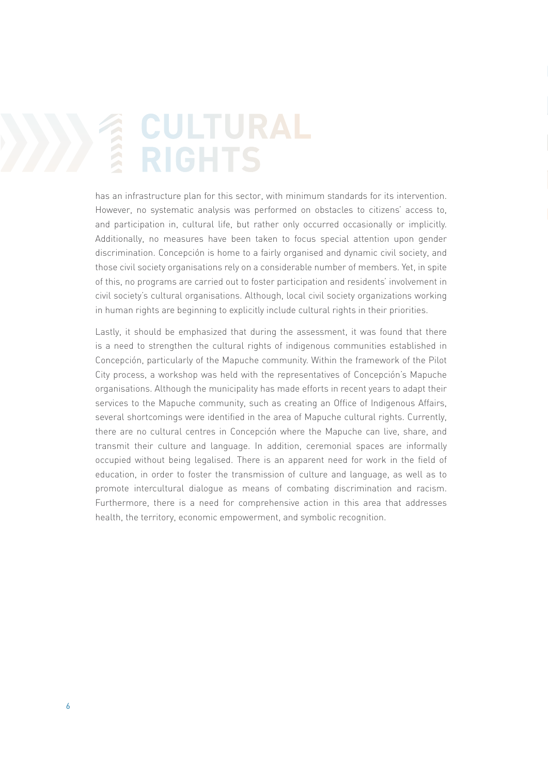## **ENDERAL**<br>ENGHTS **RIGHTS**

has an infrastructure plan for this sector, with minimum standards for its intervention. However, no systematic analysis was performed on obstacles to citizens' access to, and participation in, cultural life, but rather only occurred occasionally or implicitly. Additionally, no measures have been taken to focus special attention upon gender discrimination. Concepción is home to a fairly organised and dynamic civil society, and those civil society organisations rely on a considerable number of members. Yet, in spite of this, no programs are carried out to foster participation and residents' involvement in civil society's cultural organisations. Although, local civil society organizations working in human rights are beginning to explicitly include cultural rights in their priorities.

Lastly, it should be emphasized that during the assessment, it was found that there is a need to strengthen the cultural rights of indigenous communities established in Concepción, particularly of the Mapuche community. Within the framework of the Pilot City process, a workshop was held with the representatives of Concepción's Mapuche organisations. Although the municipality has made efforts in recent years to adapt their services to the Mapuche community, such as creating an Office of Indigenous Affairs, several shortcomings were identified in the area of Mapuche cultural rights. Currently, there are no cultural centres in Concepción where the Mapuche can live, share, and transmit their culture and language. In addition, ceremonial spaces are informally occupied without being legalised. There is an apparent need for work in the field of education, in order to foster the transmission of culture and language, as well as to promote intercultural dialogue as means of combating discrimination and racism. Furthermore, there is a need for comprehensive action in this area that addresses health, the territory, economic empowerment, and symbolic recognition.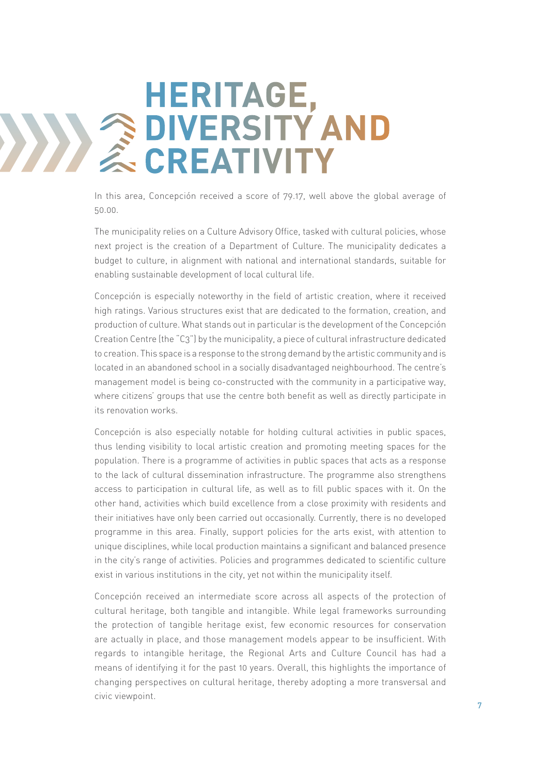## **2**<br> **EXPERISITY HERITAGE, DIVERSITY AND**

In this area, Concepción received a score of 79.17, well above the global average of 50.00.

The municipality relies on a Culture Advisory Office, tasked with cultural policies, whose next project is the creation of a Department of Culture. The municipality dedicates a budget to culture, in alignment with national and international standards, suitable for enabling sustainable development of local cultural life.

Concepción is especially noteworthy in the field of artistic creation, where it received high ratings. Various structures exist that are dedicated to the formation, creation, and production of culture. What stands out in particular is the development of the Concepción Creation Centre (the "C3") by the municipality, a piece of cultural infrastructure dedicated to creation. This space is a response to the strong demand by the artistic community and is located in an abandoned school in a socially disadvantaged neighbourhood. The centre's management model is being co-constructed with the community in a participative way, where citizens' groups that use the centre both benefit as well as directly participate in its renovation works.

Concepción is also especially notable for holding cultural activities in public spaces, thus lending visibility to local artistic creation and promoting meeting spaces for the population. There is a programme of activities in public spaces that acts as a response to the lack of cultural dissemination infrastructure. The programme also strengthens access to participation in cultural life, as well as to fill public spaces with it. On the other hand, activities which build excellence from a close proximity with residents and their initiatives have only been carried out occasionally. Currently, there is no developed programme in this area. Finally, support policies for the arts exist, with attention to unique disciplines, while local production maintains a significant and balanced presence in the city's range of activities. Policies and programmes dedicated to scientific culture exist in various institutions in the city, yet not within the municipality itself.

Concepción received an intermediate score across all aspects of the protection of cultural heritage, both tangible and intangible. While legal frameworks surrounding the protection of tangible heritage exist, few economic resources for conservation are actually in place, and those management models appear to be insufficient. With regards to intangible heritage, the Regional Arts and Culture Council has had a means of identifying it for the past 10 years. Overall, this highlights the importance of changing perspectives on cultural heritage, thereby adopting a more transversal and civic viewpoint.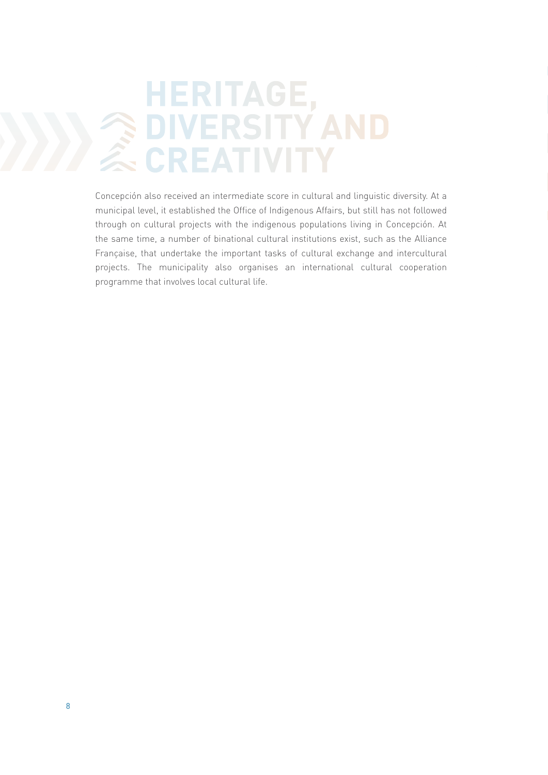### **2227 HERITAGE, DIVERSITY AND CREATIVITY**

Concepción also received an intermediate score in cultural and linguistic diversity. At a municipal level, it established the Office of Indigenous Affairs, but still has not followed through on cultural projects with the indigenous populations living in Concepción. At the same time, a number of binational cultural institutions exist, such as the Alliance Française, that undertake the important tasks of cultural exchange and intercultural projects. The municipality also organises an international cultural cooperation programme that involves local cultural life.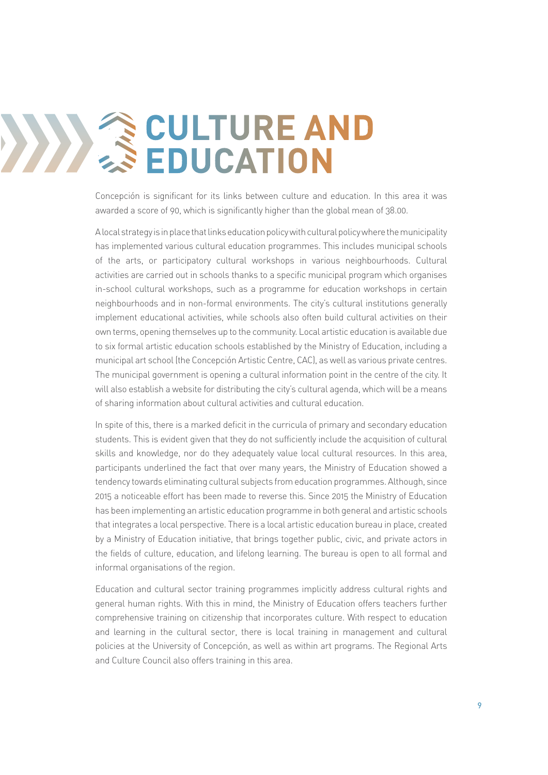# **CULTURE AND EDUCATION**

Concepción is significant for its links between culture and education. In this area it was awarded a score of 90, which is significantly higher than the global mean of 38.00.

A local strategy is in place that links education policy with cultural policy where the municipality has implemented various cultural education programmes. This includes municipal schools of the arts, or participatory cultural workshops in various neighbourhoods. Cultural activities are carried out in schools thanks to a specific municipal program which organises in-school cultural workshops, such as a programme for education workshops in certain neighbourhoods and in non-formal environments. The city's cultural institutions generally implement educational activities, while schools also often build cultural activities on their own terms, opening themselves up to the community. Local artistic education is available due to six formal artistic education schools established by the Ministry of Education, including a municipal art school (the Concepción Artistic Centre, CAC), as well as various private centres. The municipal government is opening a cultural information point in the centre of the city. It will also establish a website for distributing the city's cultural agenda, which will be a means of sharing information about cultural activities and cultural education.

In spite of this, there is a marked deficit in the curricula of primary and secondary education students. This is evident given that they do not sufficiently include the acquisition of cultural skills and knowledge, nor do they adequately value local cultural resources. In this area, participants underlined the fact that over many years, the Ministry of Education showed a tendency towards eliminating cultural subjects from education programmes. Although, since 2015 a noticeable effort has been made to reverse this. Since 2015 the Ministry of Education has been implementing an artistic education programme in both general and artistic schools that integrates a local perspective. There is a local artistic education bureau in place, created by a Ministry of Education initiative, that brings together public, civic, and private actors in the fields of culture, education, and lifelong learning. The bureau is open to all formal and informal organisations of the region.

Education and cultural sector training programmes implicitly address cultural rights and general human rights. With this in mind, the Ministry of Education offers teachers further comprehensive training on citizenship that incorporates culture. With respect to education and learning in the cultural sector, there is local training in management and cultural policies at the University of Concepción, as well as within art programs. The Regional Arts and Culture Council also offers training in this area.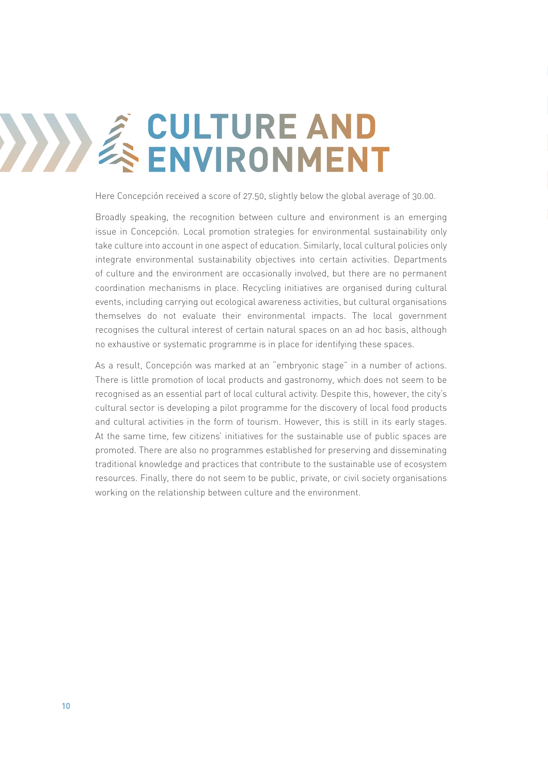# **4 CULTURE AND<br>ENVIRONMENT ENVIRONMENT**

Here Concepción received a score of 27.50, slightly below the global average of 30.00.

Broadly speaking, the recognition between culture and environment is an emerging issue in Concepción. Local promotion strategies for environmental sustainability only take culture into account in one aspect of education. Similarly, local cultural policies only integrate environmental sustainability objectives into certain activities. Departments of culture and the environment are occasionally involved, but there are no permanent coordination mechanisms in place. Recycling initiatives are organised during cultural events, including carrying out ecological awareness activities, but cultural organisations themselves do not evaluate their environmental impacts. The local government recognises the cultural interest of certain natural spaces on an ad hoc basis, although no exhaustive or systematic programme is in place for identifying these spaces.

As a result, Concepción was marked at an "embryonic stage" in a number of actions. There is little promotion of local products and gastronomy, which does not seem to be recognised as an essential part of local cultural activity. Despite this, however, the city's cultural sector is developing a pilot programme for the discovery of local food products and cultural activities in the form of tourism. However, this is still in its early stages. At the same time, few citizens' initiatives for the sustainable use of public spaces are promoted. There are also no programmes established for preserving and disseminating traditional knowledge and practices that contribute to the sustainable use of ecosystem resources. Finally, there do not seem to be public, private, or civil society organisations working on the relationship between culture and the environment.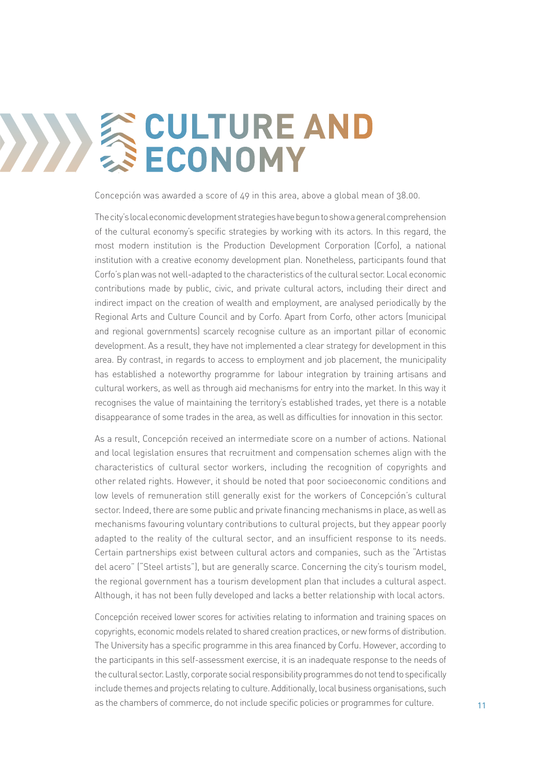# **SCULTURE AND ECONOMY**

Concepción was awarded a score of 49 in this area, above a global mean of 38.00.

The city's local economic development strategies have begun to show a general comprehension of the cultural economy's specific strategies by working with its actors. In this regard, the most modern institution is the Production Development Corporation (Corfo), a national institution with a creative economy development plan. Nonetheless, participants found that Corfo's plan was not well-adapted to the characteristics of the cultural sector. Local economic contributions made by public, civic, and private cultural actors, including their direct and indirect impact on the creation of wealth and employment, are analysed periodically by the Regional Arts and Culture Council and by Corfo. Apart from Corfo, other actors (municipal and regional governments) scarcely recognise culture as an important pillar of economic development. As a result, they have not implemented a clear strategy for development in this area. By contrast, in regards to access to employment and job placement, the municipality has established a noteworthy programme for labour integration by training artisans and cultural workers, as well as through aid mechanisms for entry into the market. In this way it recognises the value of maintaining the territory's established trades, yet there is a notable disappearance of some trades in the area, as well as difficulties for innovation in this sector.

As a result, Concepción received an intermediate score on a number of actions. National and local legislation ensures that recruitment and compensation schemes align with the characteristics of cultural sector workers, including the recognition of copyrights and other related rights. However, it should be noted that poor socioeconomic conditions and low levels of remuneration still generally exist for the workers of Concepción's cultural sector. Indeed, there are some public and private financing mechanisms in place, as well as mechanisms favouring voluntary contributions to cultural projects, but they appear poorly adapted to the reality of the cultural sector, and an insufficient response to its needs. Certain partnerships exist between cultural actors and companies, such as the "Artistas del acero" ("Steel artists"), but are generally scarce. Concerning the city's tourism model, the regional government has a tourism development plan that includes a cultural aspect. Although, it has not been fully developed and lacks a better relationship with local actors.

Concepción received lower scores for activities relating to information and training spaces on copyrights, economic models related to shared creation practices, or new forms of distribution. The University has a specific programme in this area financed by Corfu. However, according to the participants in this self-assessment exercise, it is an inadequate response to the needs of the cultural sector. Lastly, corporate social responsibility programmes do not tend to specifically include themes and projects relating to culture. Additionally, local business organisations, such as the chambers of commerce, do not include specific policies or programmes for culture.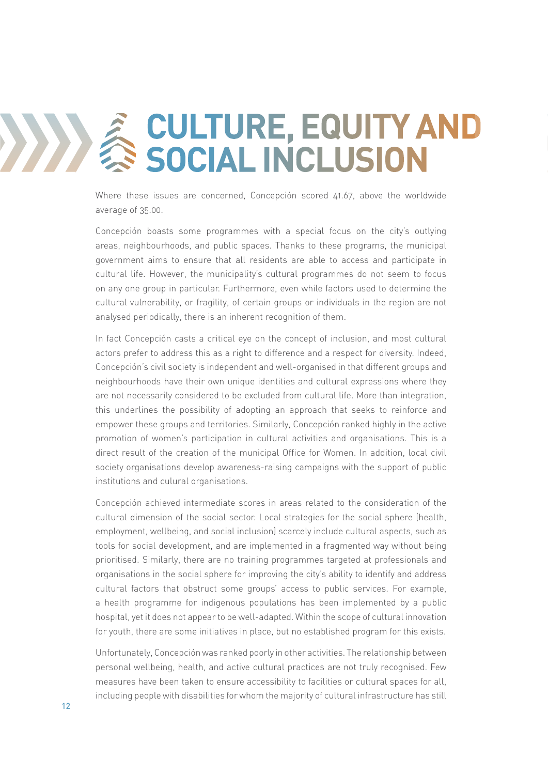# **EQUITY AND**<br>
SOCIAL INCLUSION **SOCIAL INCLUSION**

Where these issues are concerned, Concepción scored 41.67, above the worldwide average of 35.00.

Concepción boasts some programmes with a special focus on the city's outlying areas, neighbourhoods, and public spaces. Thanks to these programs, the municipal government aims to ensure that all residents are able to access and participate in cultural life. However, the municipality's cultural programmes do not seem to focus on any one group in particular. Furthermore, even while factors used to determine the cultural vulnerability, or fragility, of certain groups or individuals in the region are not analysed periodically, there is an inherent recognition of them.

In fact Concepción casts a critical eye on the concept of inclusion, and most cultural actors prefer to address this as a right to difference and a respect for diversity. Indeed, Concepción's civil society is independent and well-organised in that different groups and neighbourhoods have their own unique identities and cultural expressions where they are not necessarily considered to be excluded from cultural life. More than integration, this underlines the possibility of adopting an approach that seeks to reinforce and empower these groups and territories. Similarly, Concepción ranked highly in the active promotion of women's participation in cultural activities and organisations. This is a direct result of the creation of the municipal Office for Women. In addition, local civil society organisations develop awareness-raising campaigns with the support of public institutions and culural organisations.

Concepción achieved intermediate scores in areas related to the consideration of the cultural dimension of the social sector. Local strategies for the social sphere (health, employment, wellbeing, and social inclusion) scarcely include cultural aspects, such as tools for social development, and are implemented in a fragmented way without being prioritised. Similarly, there are no training programmes targeted at professionals and organisations in the social sphere for improving the city's ability to identify and address cultural factors that obstruct some groups' access to public services. For example, a health programme for indigenous populations has been implemented by a public hospital, yet it does not appear to be well-adapted. Within the scope of cultural innovation for youth, there are some initiatives in place, but no established program for this exists.

Unfortunately, Concepción was ranked poorly in other activities. The relationship between personal wellbeing, health, and active cultural practices are not truly recognised. Few measures have been taken to ensure accessibility to facilities or cultural spaces for all, including people with disabilities for whom the majority of cultural infrastructure has still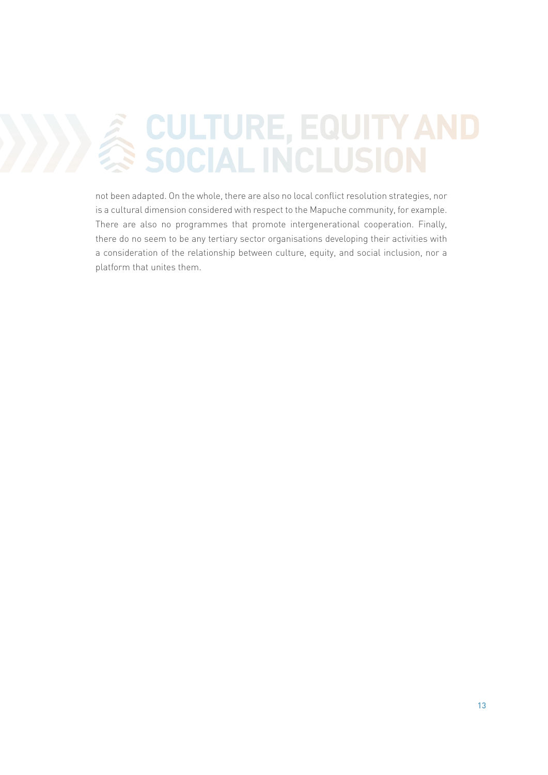# **EXAMPLE COULTURE, EQUITY AND SOCIAL INCLUSION SOCIAL INCLUSION**

not been adapted. On the whole, there are also no local conflict resolution strategies, nor is a cultural dimension considered with respect to the Mapuche community, for example. There are also no programmes that promote intergenerational cooperation. Finally, there do no seem to be any tertiary sector organisations developing their activities with a consideration of the relationship between culture, equity, and social inclusion, nor a platform that unites them.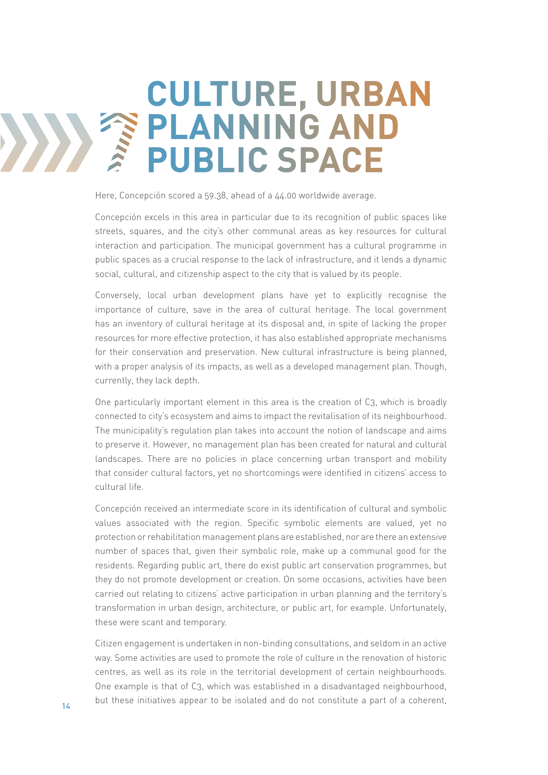## *Friday* **CULTURE, URBAN PLANNING AND PUBLIC SPACE**

Here, Concepción scored a 59.38, ahead of a 44.00 worldwide average.

Concepción excels in this area in particular due to its recognition of public spaces like streets, squares, and the city's other communal areas as key resources for cultural interaction and participation. The municipal government has a cultural programme in public spaces as a crucial response to the lack of infrastructure, and it lends a dynamic social, cultural, and citizenship aspect to the city that is valued by its people.

Conversely, local urban development plans have yet to explicitly recognise the importance of culture, save in the area of cultural heritage. The local government has an inventory of cultural heritage at its disposal and, in spite of lacking the proper resources for more effective protection, it has also established appropriate mechanisms for their conservation and preservation. New cultural infrastructure is being planned, with a proper analysis of its impacts, as well as a developed management plan. Though, currently, they lack depth.

One particularly important element in this area is the creation of C3, which is broadly connected to city's ecosystem and aims to impact the revitalisation of its neighbourhood. The municipality's regulation plan takes into account the notion of landscape and aims to preserve it. However, no management plan has been created for natural and cultural landscapes. There are no policies in place concerning urban transport and mobility that consider cultural factors, yet no shortcomings were identified in citizens' access to cultural life.

Concepción received an intermediate score in its identification of cultural and symbolic values associated with the region. Specific symbolic elements are valued, yet no protection or rehabilitation management plans are established, nor are there an extensive number of spaces that, given their symbolic role, make up a communal good for the residents. Regarding public art, there do exist public art conservation programmes, but they do not promote development or creation. On some occasions, activities have been carried out relating to citizens' active participation in urban planning and the territory's transformation in urban design, architecture, or public art, for example. Unfortunately, these were scant and temporary.

Citizen engagement is undertaken in non-binding consultations, and seldom in an active way. Some activities are used to promote the role of culture in the renovation of historic centres, as well as its role in the territorial development of certain neighbourhoods. One example is that of C3, which was established in a disadvantaged neighbourhood, but these initiatives appear to be isolated and do not constitute a part of a coherent,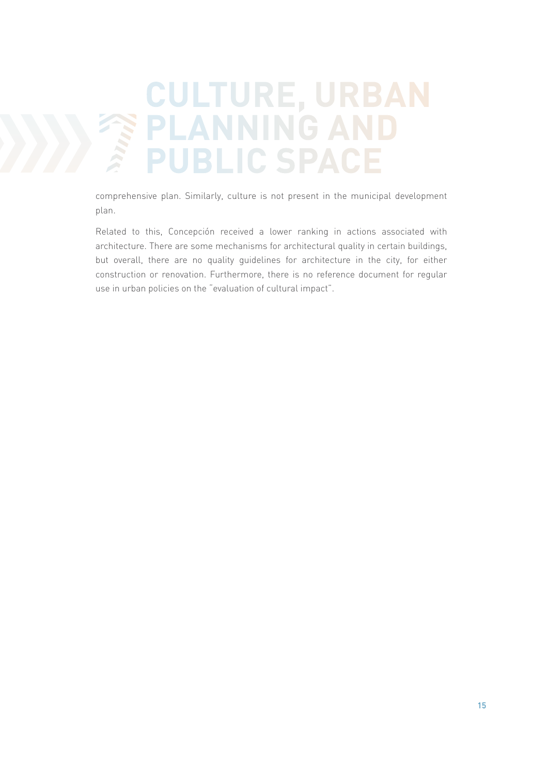## **771117 CULTURE, URBAN PLANNING AND PUBLIC SPACE**

comprehensive plan. Similarly, culture is not present in the municipal development plan.

Related to this, Concepción received a lower ranking in actions associated with architecture. There are some mechanisms for architectural quality in certain buildings, but overall, there are no quality guidelines for architecture in the city, for either construction or renovation. Furthermore, there is no reference document for regular use in urban policies on the "evaluation of cultural impact".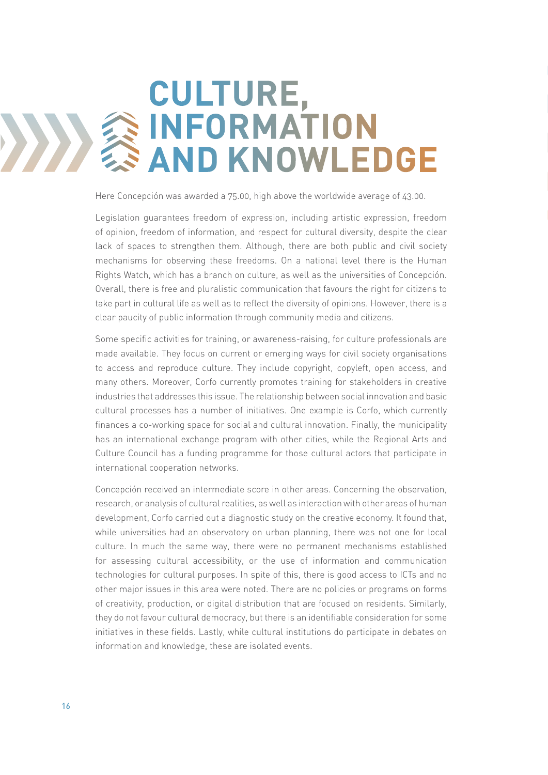## **8 CULTURE, INFORMATION AND KNOWLEDGE**

Here Concepción was awarded a 75.00, high above the worldwide average of 43.00.

Legislation guarantees freedom of expression, including artistic expression, freedom of opinion, freedom of information, and respect for cultural diversity, despite the clear lack of spaces to strengthen them. Although, there are both public and civil society mechanisms for observing these freedoms. On a national level there is the Human Rights Watch, which has a branch on culture, as well as the universities of Concepción. Overall, there is free and pluralistic communication that favours the right for citizens to take part in cultural life as well as to reflect the diversity of opinions. However, there is a clear paucity of public information through community media and citizens.

Some specific activities for training, or awareness-raising, for culture professionals are made available. They focus on current or emerging ways for civil society organisations to access and reproduce culture. They include copyright, copyleft, open access, and many others. Moreover, Corfo currently promotes training for stakeholders in creative industries that addresses this issue. The relationship between social innovation and basic cultural processes has a number of initiatives. One example is Corfo, which currently finances a co-working space for social and cultural innovation. Finally, the municipality has an international exchange program with other cities, while the Regional Arts and Culture Council has a funding programme for those cultural actors that participate in international cooperation networks.

Concepción received an intermediate score in other areas. Concerning the observation, research, or analysis of cultural realities, as well as interaction with other areas of human development, Corfo carried out a diagnostic study on the creative economy. It found that, while universities had an observatory on urban planning, there was not one for local culture. In much the same way, there were no permanent mechanisms established for assessing cultural accessibility, or the use of information and communication technologies for cultural purposes. In spite of this, there is good access to ICTs and no other major issues in this area were noted. There are no policies or programs on forms of creativity, production, or digital distribution that are focused on residents. Similarly, they do not favour cultural democracy, but there is an identifiable consideration for some initiatives in these fields. Lastly, while cultural institutions do participate in debates on information and knowledge, these are isolated events.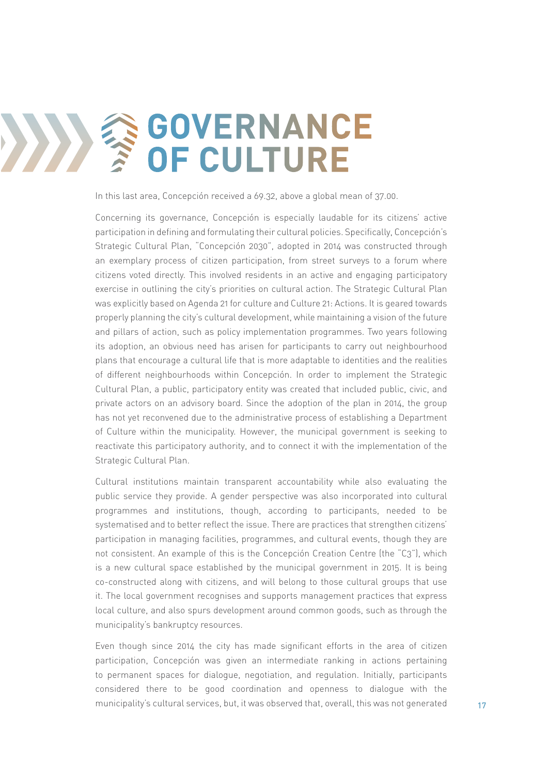# **GOVERNANCE OF CULTURE**

In this last area, Concepción received a 69.32, above a global mean of 37.00.

Concerning its governance, Concepción is especially laudable for its citizens' active participation in defining and formulating their cultural policies. Specifically, Concepción's Strategic Cultural Plan, "Concepción 2030", adopted in 2014 was constructed through an exemplary process of citizen participation, from street surveys to a forum where citizens voted directly. This involved residents in an active and engaging participatory exercise in outlining the city's priorities on cultural action. The Strategic Cultural Plan was explicitly based on Agenda 21 for culture and Culture 21: Actions. It is geared towards properly planning the city's cultural development, while maintaining a vision of the future and pillars of action, such as policy implementation programmes. Two years following its adoption, an obvious need has arisen for participants to carry out neighbourhood plans that encourage a cultural life that is more adaptable to identities and the realities of different neighbourhoods within Concepción. In order to implement the Strategic Cultural Plan, a public, participatory entity was created that included public, civic, and private actors on an advisory board. Since the adoption of the plan in 2014, the group has not yet reconvened due to the administrative process of establishing a Department of Culture within the municipality. However, the municipal government is seeking to reactivate this participatory authority, and to connect it with the implementation of the Strategic Cultural Plan.

Cultural institutions maintain transparent accountability while also evaluating the public service they provide. A gender perspective was also incorporated into cultural programmes and institutions, though, according to participants, needed to be systematised and to better reflect the issue. There are practices that strengthen citizens' participation in managing facilities, programmes, and cultural events, though they are not consistent. An example of this is the Concepción Creation Centre (the "C3"), which is a new cultural space established by the municipal government in 2015. It is being co-constructed along with citizens, and will belong to those cultural groups that use it. The local government recognises and supports management practices that express local culture, and also spurs development around common goods, such as through the municipality's bankruptcy resources.

Even though since 2014 the city has made significant efforts in the area of citizen participation, Concepción was given an intermediate ranking in actions pertaining to permanent spaces for dialogue, negotiation, and regulation. Initially, participants considered there to be good coordination and openness to dialogue with the municipality's cultural services, but, it was observed that, overall, this was not generated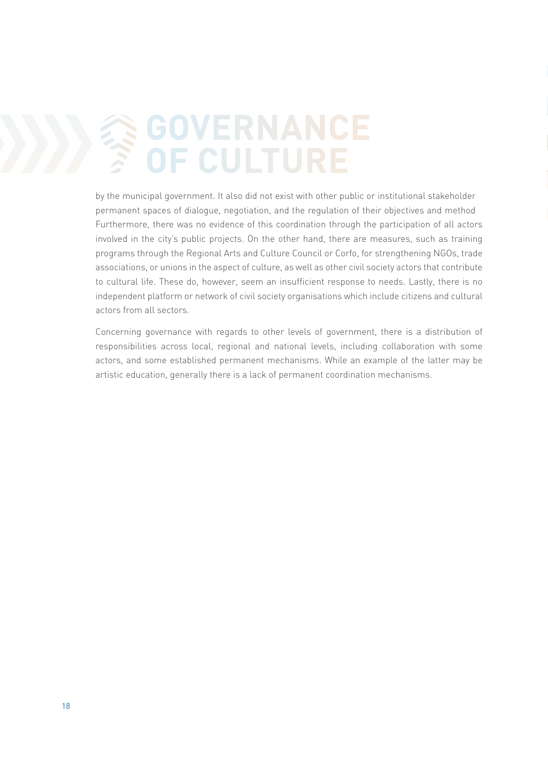# **GOVERNANCE**<br> **POF CULTURE OF CULTURE**

by the municipal government. It also did not exist with other public or institutional stakeholder permanent spaces of dialogue, negotiation, and the regulation of their objectives and method Furthermore, there was no evidence of this coordination through the participation of all actors involved in the city's public projects. On the other hand, there are measures, such as training programs through the Regional Arts and Culture Council or Corfo, for strengthening NGOs, trade associations, or unions in the aspect of culture, as well as other civil society actors that contribute to cultural life. These do, however, seem an insufficient response to needs. Lastly, there is no independent platform or network of civil society organisations which include citizens and cultural actors from all sectors.

Concerning governance with regards to other levels of government, there is a distribution of responsibilities across local, regional and national levels, including collaboration with some actors, and some established permanent mechanisms. While an example of the latter may be artistic education, generally there is a lack of permanent coordination mechanisms.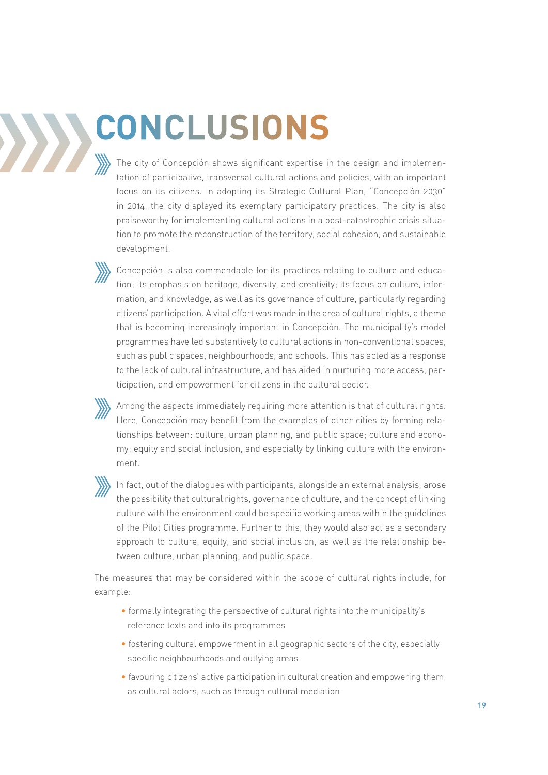# **CONCLUSIONS**

The city of Concepción shows significant expertise in the design and implementation of participative, transversal cultural actions and policies, with an important focus on its citizens. In adopting its Strategic Cultural Plan, "Concepción 2030" in 2014, the city displayed its exemplary participatory practices. The city is also praiseworthy for implementing cultural actions in a post-catastrophic crisis situation to promote the reconstruction of the territory, social cohesion, and sustainable development.

Concepción is also commendable for its practices relating to culture and education; its emphasis on heritage, diversity, and creativity; its focus on culture, information, and knowledge, as well as its governance of culture, particularly regarding citizens' participation. A vital effort was made in the area of cultural rights, a theme that is becoming increasingly important in Concepción. The municipality's model programmes have led substantively to cultural actions in non-conventional spaces, such as public spaces, neighbourhoods, and schools. This has acted as a response to the lack of cultural infrastructure, and has aided in nurturing more access, participation, and empowerment for citizens in the cultural sector.

Among the aspects immediately requiring more attention is that of cultural rights. Here, Concepción may benefit from the examples of other cities by forming relationships between: culture, urban planning, and public space; culture and economy; equity and social inclusion, and especially by linking culture with the environment.

In fact, out of the dialogues with participants, alongside an external analysis, arose the possibility that cultural rights, governance of culture, and the concept of linking culture with the environment could be specific working areas within the guidelines of the Pilot Cities programme. Further to this, they would also act as a secondary approach to culture, equity, and social inclusion, as well as the relationship between culture, urban planning, and public space.

The measures that may be considered within the scope of cultural rights include, for example:

- formally integrating the perspective of cultural rights into the municipality's reference texts and into its programmes
- fostering cultural empowerment in all geographic sectors of the city, especially specific neighbourhoods and outlying areas
- favouring citizens' active participation in cultural creation and empowering them as cultural actors, such as through cultural mediation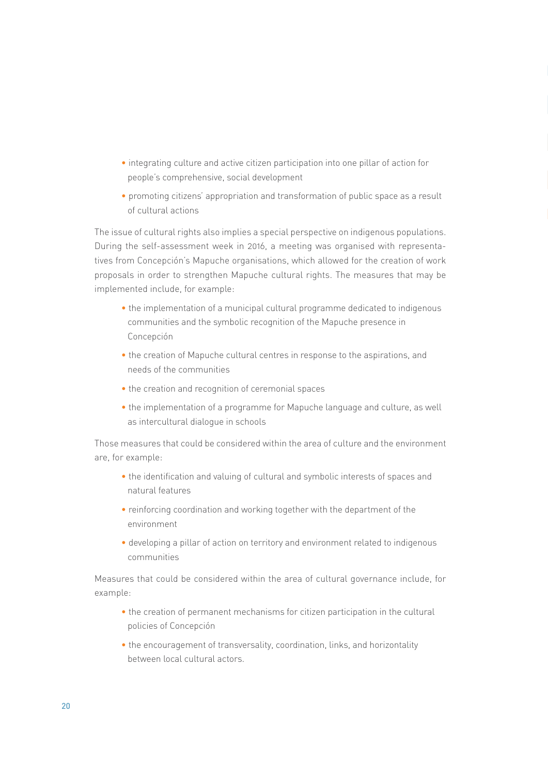- integrating culture and active citizen participation into one pillar of action for people's comprehensive, social development
- promoting citizens' appropriation and transformation of public space as a result of cultural actions

The issue of cultural rights also implies a special perspective on indigenous populations. During the self-assessment week in 2016, a meeting was organised with representatives from Concepción's Mapuche organisations, which allowed for the creation of work proposals in order to strengthen Mapuche cultural rights. The measures that may be implemented include, for example:

- the implementation of a municipal cultural programme dedicated to indigenous communities and the symbolic recognition of the Mapuche presence in Concepción
- the creation of Mapuche cultural centres in response to the aspirations, and needs of the communities
- the creation and recognition of ceremonial spaces
- the implementation of a programme for Mapuche language and culture, as well as intercultural dialogue in schools

Those measures that could be considered within the area of culture and the environment are, for example:

- the identification and valuing of cultural and symbolic interests of spaces and natural features
- reinforcing coordination and working together with the department of the environment
- developing a pillar of action on territory and environment related to indigenous communities

Measures that could be considered within the area of cultural governance include, for example:

- the creation of permanent mechanisms for citizen participation in the cultural policies of Concepción
- the encouragement of transversality, coordination, links, and horizontality between local cultural actors.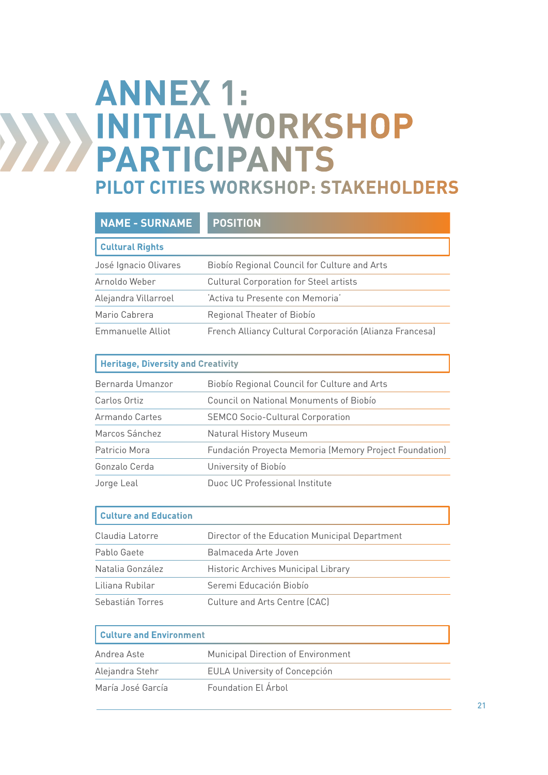## **ANNEX 1: INITIAL WORKSHOP PARTICIPANTS PILOT CITIES WORKSHOP: STAKEHOLDERS**

| <b>NAME - SURNAME</b>  | <b>POSITION</b>                                         |
|------------------------|---------------------------------------------------------|
| <b>Cultural Rights</b> |                                                         |
| José Ignacio Olivares  | Biobio Regional Council for Culture and Arts            |
| Arnoldo Weber          | <b>Cultural Corporation for Steel artists</b>           |
| Alejandra Villarroel   | 'Activa tu Presente con Memoria'                        |
| Mario Cabrera          | Regional Theater of Biobío                              |
| Emmanuelle Alliot      | French Alliancy Cultural Corporación (Alianza Francesa) |

|  | <b>Heritage, Diversity and Creativity</b> |  |
|--|-------------------------------------------|--|
|--|-------------------------------------------|--|

| Bernarda Umanzor | Biobío Regional Council for Culture and Arts           |
|------------------|--------------------------------------------------------|
| Carlos Ortiz     | Council on National Monuments of Biobio                |
| Armando Cartes   | <b>SEMCO Socio-Cultural Corporation</b>                |
| Marcos Sánchez   | <b>Natural History Museum</b>                          |
| Patricio Mora    | Fundación Proyecta Memoria (Memory Project Foundation) |
| Gonzalo Cerda    | University of Biobío                                   |
| Jorge Leal       | Duoc UC Professional Institute                         |

| <b>Culture and Education</b> |                                                |
|------------------------------|------------------------------------------------|
| Claudia Latorre              | Director of the Education Municipal Department |
| Pablo Gaete                  | Balmaceda Arte Joven                           |
| Natalia González             | Historic Archives Municipal Library            |
| Liliana Rubilar              | Seremi Educación Biobío                        |
| Sebastián Torres             | Culture and Arts Centre (CAC)                  |

| <b>Culture and Environment</b> |                                      |
|--------------------------------|--------------------------------------|
| Andrea Aste                    | Municipal Direction of Environment   |
| Alejandra Stehr                | <b>EULA University of Concepción</b> |
| María José García              | Foundation El Árbol                  |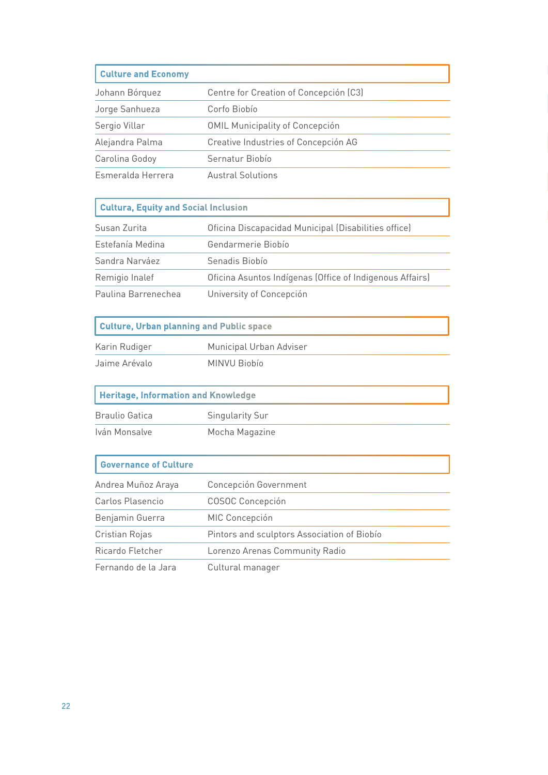#### **Culture and Economy**

| Johann Bórquez    | Centre for Creation of Concepción (C3) |
|-------------------|----------------------------------------|
| Jorge Sanhueza    | Corfo Biobío                           |
| Sergio Villar     | <b>OMIL Municipality of Concepción</b> |
| Alejandra Palma   | Creative Industries of Concepción AG   |
| Carolina Godoy    | Sernatur Biobío                        |
| Esmeralda Herrera | <b>Austral Solutions</b>               |

#### **Cultura, Equity and Social Inclusion**

| Susan Zurita        | Oficina Discapacidad Municipal (Disabilities office)     |
|---------------------|----------------------------------------------------------|
| Estefanía Medina    | Gendarmerie Biobío                                       |
| Sandra Narváez      | Senadis Biobío                                           |
| Remigio Inalef      | Oficina Asuntos Indígenas (Office of Indigenous Affairs) |
| Paulina Barrenechea | University of Concepción                                 |

### **Culture, Urban planning and Public space**

| Karin Rudiger | Municipal Urban Adviser |
|---------------|-------------------------|
| Jaime Arévalo | MINVU Biobío            |

### **Heritage, Information and Knowledge**

| Braulio Gatica | Singularity Sur |
|----------------|-----------------|
| Iván Monsalve  | Mocha Magazine  |

#### **Governance of Culture**

| Andrea Muñoz Araya  | Concepción Government                       |
|---------------------|---------------------------------------------|
| Carlos Plasencio    | <b>COSOC Concepción</b>                     |
| Benjamin Guerra     | MIC Concepción                              |
| Cristian Rojas      | Pintors and sculptors Association of Biobio |
| Ricardo Fletcher    | Lorenzo Arenas Community Radio              |
| Fernando de la Jara | Cultural manager                            |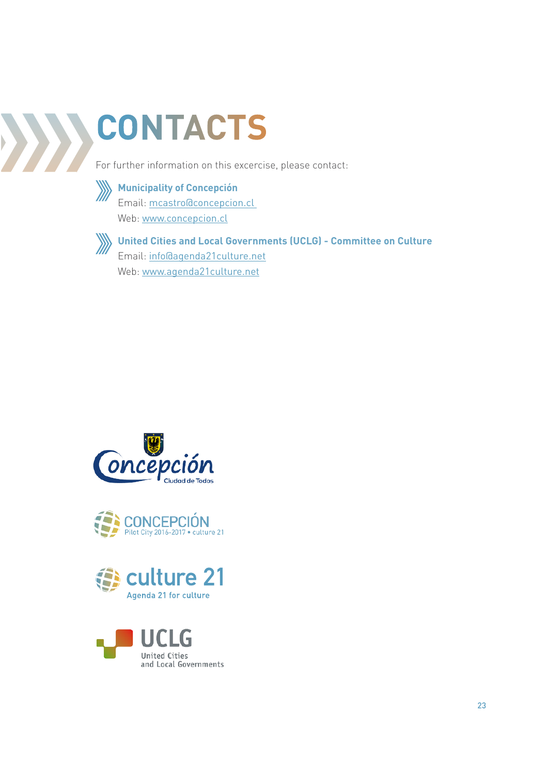# **CONTACTS**

For further information on this excercise, please contact:



### **Municipality of Concepción** Email: mcastro@concepcion.cl

Web: www.concepcion.cl



**United Cities and Local Governments (UCLG) - Committee on Culture** Email: info@agenda21culture.net Web: www.agenda21culture.net